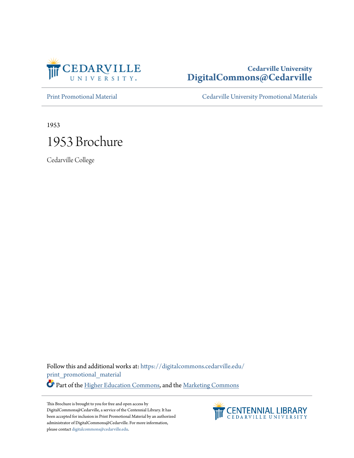

### **Cedarville University [DigitalCommons@Cedarville](https://digitalcommons.cedarville.edu?utm_source=digitalcommons.cedarville.edu%2Fprint_promotional_material%2F4&utm_medium=PDF&utm_campaign=PDFCoverPages)**

[Print Promotional Material](https://digitalcommons.cedarville.edu/print_promotional_material?utm_source=digitalcommons.cedarville.edu%2Fprint_promotional_material%2F4&utm_medium=PDF&utm_campaign=PDFCoverPages) [Cedarville University Promotional Materials](https://digitalcommons.cedarville.edu/promotional_materials?utm_source=digitalcommons.cedarville.edu%2Fprint_promotional_material%2F4&utm_medium=PDF&utm_campaign=PDFCoverPages)

1953

# 1953 Brochure

Cedarville College

Follow this and additional works at: [https://digitalcommons.cedarville.edu/](https://digitalcommons.cedarville.edu/print_promotional_material?utm_source=digitalcommons.cedarville.edu%2Fprint_promotional_material%2F4&utm_medium=PDF&utm_campaign=PDFCoverPages) [print\\_promotional\\_material](https://digitalcommons.cedarville.edu/print_promotional_material?utm_source=digitalcommons.cedarville.edu%2Fprint_promotional_material%2F4&utm_medium=PDF&utm_campaign=PDFCoverPages)

Part of the [Higher Education Commons](http://network.bepress.com/hgg/discipline/1245?utm_source=digitalcommons.cedarville.edu%2Fprint_promotional_material%2F4&utm_medium=PDF&utm_campaign=PDFCoverPages), and the [Marketing Commons](http://network.bepress.com/hgg/discipline/638?utm_source=digitalcommons.cedarville.edu%2Fprint_promotional_material%2F4&utm_medium=PDF&utm_campaign=PDFCoverPages)

This Brochure is brought to you for free and open access by DigitalCommons@Cedarville, a service of the Centennial Library. It has been accepted for inclusion in Print Promotional Material by an authorized administrator of DigitalCommons@Cedarville. For more information, please contact [digitalcommons@cedarville.edu.](mailto:digitalcommons@cedarville.edu)

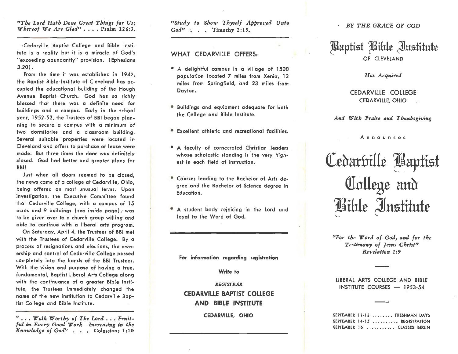### *ttThe Lord Hath Done Great Things for Us;· Whereof We Are Glad"* . . . . Psalm 126:3.

· Cedarville Baptist College and Bible Institute is a reality but it is a miracle of God's "exceeding abundantly" provision. ( Ephesians 3.20).

From the time it was established in 1942, the Baptist Bible Institute of Cleveland has occupied the educatipnal building of the Hough Avenue Baptist Church. God has so richly blessed that there was a definite need for buildings and a campus. Early in the school year, 1952-53, the Trustees of BBi began planning to secure a campus with a minimum of two dormitories and a classroom building. Several suitable properties were located in Cleveland and offers to purchase or lease **were**  made. But three times the door was definitely closed. God hod better and greater plans for **BBi!** 

Just when all doors seemed to be closed, the news came of a college at Cedarville, Ohio, being offered on most unusual terms. Upon investigation, the Executive Committee found that Cedarville College, with a campus of 15 acres and 9 buildings (see inside page), was to be given over to a church group willing and able to continue with a liberal arts program.

On Saturday, April 4, the Trustees of BBi met with the Trustees of Cedarville College. **By a**  process of resignations and elections, the ownership and control of Cedarville College passed completely into the hands of the BBi Trustees. With the vision and purpose of having a true, fundamental, Baptist Liberol Arts College along with the continuance of a greater **Bible** Institute, the Trustees immediately changed the name of the new institution to Cedarville Baptist College and Bible Institute.

rr ••• *Walk Worthy of The Lord,* , , *Fruit~ ful in Every Good Wark-Increasing in the Knowledge of God"* • • • Colossians 1:10

*"Stiidy to Show Thyself Approved Unto*  God" : . . Timothy 2:15.

### WHAT CEDARVILLE OFFERS:

- A delightful campus in a village of 1500 population located 7 miles from Xenia, 13 miles from Springfield, and 23 miles from Dayton.
- Buildings and equipment adequate for both the College and Bible Institute.
- $\bullet$  Excellent athletic and recreational facilities.
- A faculty of consecrated Christian leaders whose scholastic standing is· the **very** highest in each field of instruction.
- Courses leading to the Bachelor of Arts de**gree** and the Bachelor of Science degree in Education.
- A student body rejoicing in the Lord and loyal to the Word of God.

#### **For information regarding registration**

### **Write to**

### *REGISTRAR.*  **CEDARVILLE BAPTIST COLLEGE AND BIBLE INSTITUTE**

### **CEDARVILLE, OHIO**

#### BY *THE GRACE* OF GOD

## ~aptist *~iblt* ~us±itutt OF CLEVELAND

### *Has Acquired*

CEDARVILLE COLLEGE CEDARVILLE', OHIO

*And With Praise and Thanksgiving* 

Announces

Cedarfrille **Baptist** College and Bible Institute

*r,For the Word of God, and for the Testimony of Jesus Christ" Revelation 1: 9* 

LIBERAL ARTS COLLEGE AND BIBLE INSTITUTE COURSES - 1953-54

SEPTEMBER 11-13 ......., FRESHMAN DAYS SEPTEMBER 14-15 ......... REGISTRATION SEPTEMBER 16 ........... CLASSES BEGIN